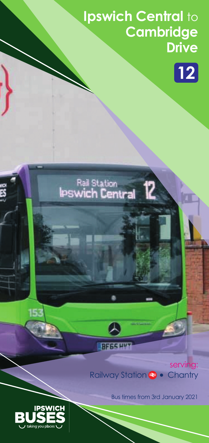## **Ipswich Central** to **Cambridge Drive**



# Rail Station<br>IPSwich Central

serving: Railway Station **a** • Chantry

**ERFGSHY** 



Bus times from 3rd January 2021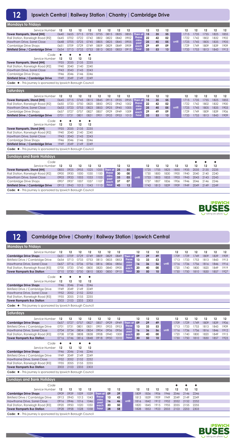**12**

#### **Ipswich Central** | **Railway Station** | **Chantry** | **Cambridge Drive**

| <b>Mondays to Fridays</b>                                        |           |              |      |      |                   |                  |          |      |                  |      |              |              |              |              |      |              |              |      |
|------------------------------------------------------------------|-----------|--------------|------|------|-------------------|------------------|----------|------|------------------|------|--------------|--------------|--------------|--------------|------|--------------|--------------|------|
| Service Number                                                   | 12        | 12           | 12   | 12   | 12                | 12               | 12       | 12   |                  | 12   | 12           | 12           |              | 12           | 12   | 12           | 12           | 12   |
| <b>Tower Ramparts, Stand [HH]</b>                                | 0640      | 0655         | 0715 | 0735 | 0755              | 0815             | 0835     | 0855 | Then at          | 15   | 35           | 55           |              | 1715         | 1735 | 1755         | 1825         | 1855 |
| Rail Station, Ranelagh Road [R2]                                 | 0645      | 0702         | 0722 | 0742 | 0802              | 0822             | 0842     | 0902 | these            | 22   | 42           | 02           |              | 1722         | 1742 | 1802         | 1832         | 1902 |
| Hawthorn Drive, Sorrel Close                                     | 0648      | 0705         | 0725 | 0745 | 0805              | 0825             | 0845     | 0905 | mins<br>past     | 25   | 45           | 05           | until        | 1725         | 1745 | 1805         | 1835         | 1905 |
| <b>Cambridge Drive Shops</b>                                     | 0651      | 0709         | 0729 | 0749 | 0809              | 0829             | 0849     | 0909 | each             | 29   | 49           | 09           |              | 1729         | 1749 | 1809         | 1839         | 1909 |
| <b>Birkfield Drive / Cambridge Drive</b>                         | 0654      | 0713         | 0733 | 0753 | 0813              | 0833             | 0853     | 0913 | hour             | 33   | 53           | 13           |              | 1733         | 1753 | 1813         | 1843         | 1913 |
| Code                                                             | $\bullet$ | ٠            | ٠    | ٠    |                   |                  |          |      |                  |      |              |              |              |              |      |              |              |      |
| Service Number                                                   | 12        | 12           | 12   | 12   |                   |                  |          |      |                  |      |              |              |              |              |      |              |              |      |
| <b>Tower Ramparts, Stand [HH]</b>                                | 1935      | 2035         | 2135 | 2235 |                   |                  |          |      |                  |      |              |              |              |              |      |              |              |      |
| Rail Station, Ranelagh Road [R2]                                 | 1940      | 2040         | 2140 | 2240 |                   |                  |          |      |                  |      |              |              |              |              |      |              |              |      |
| Hawthorn Drive, Sorrel Close                                     | 1943      | 2043         | 2143 | 2243 |                   |                  |          |      |                  |      |              |              |              |              |      |              |              |      |
| <b>Cambridge Drive Shops</b>                                     | 1946      | 2046         | 2146 | 2246 |                   |                  |          |      |                  |      |              |              |              |              |      |              |              |      |
| <b>Birkfield Drive / Cambridge Drive</b>                         | 1949      | 2049         | 2149 | 2249 |                   |                  |          |      |                  |      |              |              |              |              |      |              |              |      |
|                                                                  |           |              |      |      |                   |                  |          |      |                  |      |              |              |              |              |      |              |              |      |
| Code: ♦ - This journey is sponsored by Ipswich Borough Council   |           |              |      |      |                   |                  |          |      |                  |      |              |              |              |              |      |              |              |      |
| <b>Saturdays</b>                                                 |           |              |      |      |                   |                  |          |      |                  |      |              |              |              |              |      |              |              |      |
| Service Number                                                   | 12        | 12           | 12   | 12   | 12                | 12               | 12       | 12   |                  | 12   | 12           | 12           |              | 12           | 12   | 12           | 12           | 12   |
|                                                                  | 0645      | 0715         | 0745 | 0815 | 0845              | 0915             | 0935     | 0955 |                  | 15   | 35           | 55           |              | 1715         | 1735 | 1755         | 1825         | 1855 |
| <b>Tower Ramparts, Stand [HH]</b>                                | 0650      | 0720         | 0750 | 0820 | 0850              | 0922             | 0942     | 1002 | Then at<br>these | 22   | 42           | 02           |              | 1722         | 1742 | 1802         | 1832         | 1900 |
| Rail Station, Ranelagh Road [R2]<br>Hawthorn Drive, Sorrel Close | 0653      | 0723         | 0753 | 0823 | 0853              | 0925             | 0945     | 1005 | mins             | 25   | 45           | 05           | until        | 1725         | 1745 | 1805         | 1835         | 1903 |
| <b>Cambridge Drive Shops</b>                                     | 0657      | 0727         | 0757 | 0827 | 0857              | 0929             | 0949     | 1009 | past             | 29   | 49           | 09           |              | 1729         | 1749 | 1809         | 1839         | 1906 |
| <b>Birkfield Drive / Cambridge Drive</b>                         | 0701      | 0731         | 0801 | 0831 | 0901              | 0933             | 0953     | 1013 | each<br>hour     | 33   | 53           | 13           |              | 1733         | 1753 | 1813         | 1843         | 1909 |
|                                                                  |           |              |      |      |                   |                  |          |      |                  |      |              |              |              |              |      |              |              |      |
| Code                                                             | $\bullet$ | $\bullet$    | ۰    | ۰    |                   |                  |          |      |                  |      |              |              |              |              |      |              |              |      |
| Service Number                                                   | 12        | 12           | 12   | 12   |                   |                  |          |      |                  |      |              |              |              |              |      |              |              |      |
| <b>Tower Ramparts, Stand [HH]</b>                                | 1935      | 2035         | 2135 | 2235 |                   |                  |          |      |                  |      |              |              |              |              |      |              |              |      |
| Rail Station, Ranelagh Road [R2]                                 | 1940      | 2040         | 2140 | 2240 |                   |                  |          |      |                  |      |              |              |              |              |      |              |              |      |
| Hawthorn Drive, Sorrel Close                                     | 1943      | 2043         | 2143 | 2243 |                   |                  |          |      |                  |      |              |              |              |              |      |              |              |      |
| <b>Cambridge Drive Shops</b>                                     | 1946      | 2046         | 2146 | 2246 |                   |                  |          |      |                  |      |              |              |              |              |      |              |              |      |
| <b>Birkfield Drive / Cambridge Drive</b>                         | 1949      | 2049         | 2149 | 2249 |                   |                  |          |      |                  |      |              |              |              |              |      |              |              |      |
| Code: ♦ - This journey is sponsored by Ipswich Borough Council   |           |              |      |      |                   |                  |          |      |                  |      |              |              |              |              |      |              |              |      |
| <b>Sundays and Bank Holidays</b>                                 |           |              |      |      |                   |                  |          |      |                  |      |              |              |              |              |      |              |              |      |
|                                                                  |           |              |      |      |                   |                  |          |      |                  |      |              |              |              |              |      |              |              |      |
| Code                                                             |           |              |      |      |                   |                  |          |      |                  |      |              |              |              |              | ٠    | ٠            | ٠            |      |
| Service Number                                                   | 12        | 12           | 12   | 12   | $12 \overline{ }$ |                  | 12       | 12   |                  | 12   | 12           | 12           | 12           | 12           | 12   | 12           | 12           |      |
| <b>Tower Ramparts, Stand [HH]</b>                                | 0855      | 0925         | 0955 | 1025 | 1055              | Then at<br>these | 25       | 55   |                  | 1725 | 1755         | 1825         | 1855         | 1935         | 2035 | 2135         | 2235         |      |
| Rail Station, Ranelagh Road [R2]                                 | 0900      | 0930<br>0933 | 1000 | 1030 | 1100              | mins             | 30<br>33 | 00   |                  | 1730 | 1800<br>1803 | 1830<br>1833 | 1900<br>1903 | 1940<br>1943 | 2040 | 2140<br>2143 | 2240<br>2243 |      |
| Hawthorn Drive, Sorrel Close                                     | 0903      |              | 1003 | 1033 | 1103              | past             |          | 03   | until            | 1733 |              |              |              |              | 2043 |              |              |      |
| <b>Cambridge Drive Shops</b>                                     | 0907      | 0937         | 1007 | 1037 | 1107              | each<br>hour     | 37       | 07   |                  | 1737 | 1807         | 1836         | 1906         | 1946         | 2046 | 2146<br>2149 | 2246<br>2249 |      |
| <b>Birkfield Drive / Cambridge Drive</b>                         | 0913      | 0943         | 1013 | 1043 | 1113              |                  | 43       | 13   |                  | 1743 | 1813         | 1839         | 1909         | 1949         | 2049 |              |              |      |

**Code:** ◆ - This journey is sponsored by Ipswich Borough Council



| 12<br><b>Cambridge Drive   Chantry   Railway Station   Ipswich Central</b>   |                 |           |                             |                             |              |      |      |               |      |      |                  |       |         |      |      |      |      |      |
|------------------------------------------------------------------------------|-----------------|-----------|-----------------------------|-----------------------------|--------------|------|------|---------------|------|------|------------------|-------|---------|------|------|------|------|------|
| <b>Mondays to Fridays</b>                                                    |                 |           |                             |                             |              |      |      |               |      |      |                  |       |         |      |      |      |      |      |
| Service Number                                                               | 12              | 12        | 12                          | 12                          | 12           | 12   | 12   |               | 12   | 12   | 12               |       | 12      | 12   | 12   | 12   | 12   | 12   |
| <b>Cambridge Drive Shops</b>                                                 | 0651            | 0709      | 0729                        | 0749                        | 0809         | 0829 | 0849 | Then at       | 09   | 29   | 49               |       | 1709    | 1729 | 1749 | 1809 | 1839 | 1909 |
| Birkfield Drive / Cambridge Drive                                            | 0654            | 0713      | 0733                        | 0753                        | 0813         | 0833 | 0853 | these<br>mins | 13   | 33   | 53               |       | 1713    | 1733 | 1753 | 1813 | 1843 | 1913 |
| Hawthorne Drive, Sorrel Close                                                | 0657            | 0716      | 0736                        | 0756                        | 0816         | 0836 | 0856 | past          | 16   | 36   | 56               | until | 1716    | 1736 | 1756 | 1816 | 1846 | 1916 |
| Rail Station, Ranelagh Road [R3]                                             | 0700            | 0720      | 0740                        | 0800                        | 0820         | 0840 | 0900 | each          | 20   | 40   | 00               |       | 1720    | 1740 | 1800 | 1820 | 1849 | 1919 |
| <b>Tower Ramparts Bus Station</b>                                            | 0710            | 0730      | 0750                        | 0810                        | 0830         | 0850 | 0910 | hour          | 30   | 50   | 10 <sup>10</sup> |       | 1730    | 1750 | 1810 | 1830 | 1857 | 1927 |
| Code                                                                         | $\blacklozenge$ | $\bullet$ | $\color{blue}\blacklozenge$ | $\color{blue}\blacklozenge$ |              |      |      |               |      |      |                  |       |         |      |      |      |      |      |
| Service Number 12                                                            |                 | 12        | 12                          | 12                          |              |      |      |               |      |      |                  |       |         |      |      |      |      |      |
| <b>Cambridge Drive Shops</b>                                                 | 1946            | 2046      | 2146                        | 2246                        |              |      |      |               |      |      |                  |       |         |      |      |      |      |      |
| Birkfield Drive / Cambridge Drive                                            | 1949            | 2049      | 2149                        | 2249                        |              |      |      |               |      |      |                  |       |         |      |      |      |      |      |
| Hawthorne Drive, Sorrel Close                                                | 1952            | 2052      | 2152                        | 2252                        |              |      |      |               |      |      |                  |       |         |      |      |      |      |      |
| Rail Station, Ranelagh Road [R3]                                             | 1955            | 2055      | 2155                        | 2255                        |              |      |      |               |      |      |                  |       |         |      |      |      |      |      |
| <b>Tower Ramparts Bus Station</b>                                            | 2003            | 2103      | 2203                        | 2303                        |              |      |      |               |      |      |                  |       |         |      |      |      |      |      |
| Code: $\blacklozenge$ - This journey is sponsored by Ipswich Borough Council |                 |           |                             |                             |              |      |      |               |      |      |                  |       |         |      |      |      |      |      |
| Saturdays                                                                    |                 |           |                             |                             |              |      |      |               |      |      |                  |       |         |      |      |      |      |      |
| Service Number                                                               | 12              | 12        | 12                          | 12                          | 12           | 12   | 12   |               | 12   | 12   | 12               |       | $12 \,$ | 12   | 12   | 12   | 12   | 12   |
| <b>Cambridge Drive Shops</b>                                                 | 0657            | 0727      | 0757                        | 0827                        | 0857         | 0929 | 0949 | Then at       | 09   | 29   | 49               |       | 1709    | 1729 | 1749 | 1809 | 1839 | 1906 |
| Birkfield Drive / Cambridge Drive                                            | 0701            | 0731      | 0801                        | 0831                        | 0901         | 0933 | 0953 | these         | 13   | 33   | 53               |       | 1713    | 1733 | 1753 | 1813 | 1843 | 1909 |
| Hawthorne Drive, Sorrel Close                                                | 0704            | 0734      | 0804                        | 0834                        | 0904         | 0936 | 0956 | mins<br>past  | 16   | 36   | 56               | until | 1716    | 1736 | 1756 | 1816 | 1846 | 1912 |
| Rail Station, Ranelagh Road [R3]                                             | 0708            | 0738      | 0808                        | 0838                        | 0908         | 0940 | 1000 | each          | 20   | 40   | 00               |       | 1720    | 1740 | 1800 | 1820 | 1849 | 1915 |
| <b>Tower Ramparts Bus Station</b>                                            | 0716            | 0746      | 0816                        | 0848                        | 0918         | 0950 | 1010 | hour          | 30   | 50   | 10 <sup>10</sup> |       | 1730    | 1750 | 1810 | 1830 | 1857 | 1923 |
| Code                                                                         | $\blacklozenge$ | ۰         | $\bullet$                   | $\bullet$                   |              |      |      |               |      |      |                  |       |         |      |      |      |      |      |
| Service Number                                                               | 12              | 12        | 12                          | 12                          |              |      |      |               |      |      |                  |       |         |      |      |      |      |      |
| <b>Cambridge Drive Shops</b>                                                 | 1946            | 2046      | 2146                        | 2246                        |              |      |      |               |      |      |                  |       |         |      |      |      |      |      |
| Birkfield Drive / Cambridge Drive                                            | 1949            | 2049      | 2149                        | 2249                        |              |      |      |               |      |      |                  |       |         |      |      |      |      |      |
| Hawthorne Drive, Sorrel Close                                                | 1952            | 2052      | 2152                        | 2252                        |              |      |      |               |      |      |                  |       |         |      |      |      |      |      |
| Rail Station, Ranelagh Road [R3]                                             | 1955            | 2055      | 2155                        | 2255                        |              |      |      |               |      |      |                  |       |         |      |      |      |      |      |
| <b>Tower Ramparts Bus Station</b>                                            | 2003            | 2103      | 2203                        | 2303                        |              |      |      |               |      |      |                  |       |         |      |      |      |      |      |
| Code: ♦ - This journey is sponsored by Ipswich Borough Council               |                 |           |                             |                             |              |      |      |               |      |      |                  |       |         |      |      |      |      |      |
| <b>Sundays and Bank Holidays</b>                                             |                 |           |                             |                             |              |      |      |               |      |      |                  |       |         |      |      |      |      |      |
| Code                                                                         |                 |           |                             |                             |              |      |      |               |      |      |                  |       | ٠       |      | ٠    |      |      |      |
| Service Number                                                               | 12              | 12        | 12                          | 12                          |              | 12   | 12   |               | 12   | 12   | 12               | 12    | 12      | 12   | 12   |      |      |      |
| <b>Cambridge Drive Shops</b>                                                 | 0909            | 0939      | 1009                        | 1039                        | Then at      | 09   | 39   |               | 1809 | 1836 | 1906             | 1946  | 2046    | 2146 | 2246 |      |      |      |
| Birkfield Drive / Cambridge Drive                                            | 0913            | 0943      | 1013                        | 1043                        | these        | 13   | 43   |               | 1813 | 1839 | 1909             | 1949  | 2049    | 2149 | 2249 |      |      |      |
| Hawthorne Drive, Sorrel Close                                                | 0916            | 0946      | 1016                        | 1046                        | mins<br>past | 16   | 46   | until         | 1816 | 1842 | 1912             | 1952  | 2052    | 2152 | 2252 |      |      |      |
| Rail Station, Ranelagh Road [R3]                                             | 0920            | 0950      | 1020                        | 1050                        | each         | 20   | 50   |               | 1820 | 1845 | 1915             | 1955  | 2055    | 2155 | 2255 |      |      |      |
| <b>Tower Ramparts Bus Station</b>                                            | 0928            | 0958      | 1028                        | 1058                        | hour         | 28   | 58   |               | 1828 | 1853 | 1923             | 2003  | 2103    | 2203 | 2303 |      |      |      |
| Code: ♦ - This journey is sponsored by Ipswich Borough Council               |                 |           |                             |                             |              |      |      |               |      |      |                  |       |         |      |      |      |      |      |

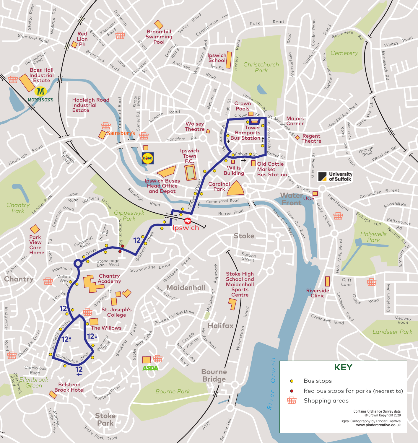